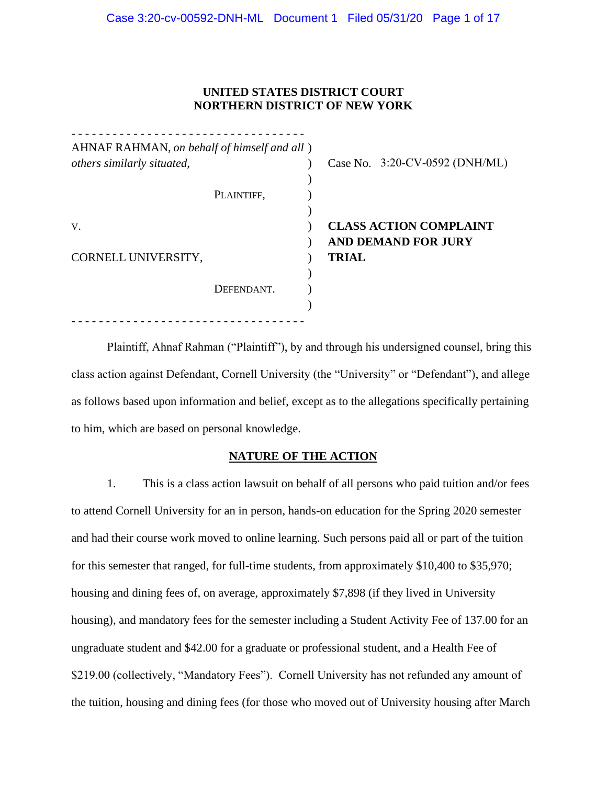### **UNITED STATES DISTRICT COURT NORTHERN DISTRICT OF NEW YORK**

| others similarly situated, |            | Case No. $3:20$ -CV-0592 (DNH/ML)                                           |
|----------------------------|------------|-----------------------------------------------------------------------------|
|                            | PLAINTIFF, |                                                                             |
| V.<br>CORNELL UNIVERSITY,  |            | <b>CLASS ACTION COMPLAINT</b><br><b>AND DEMAND FOR JURY</b><br><b>TRIAL</b> |
|                            | DEFENDANT. |                                                                             |

Plaintiff, Ahnaf Rahman ("Plaintiff"), by and through his undersigned counsel, bring this class action against Defendant, Cornell University (the "University" or "Defendant"), and allege as follows based upon information and belief, except as to the allegations specifically pertaining to him, which are based on personal knowledge.

#### **NATURE OF THE ACTION**

1. This is a class action lawsuit on behalf of all persons who paid tuition and/or fees to attend Cornell University for an in person, hands-on education for the Spring 2020 semester and had their course work moved to online learning. Such persons paid all or part of the tuition for this semester that ranged, for full-time students, from approximately \$10,400 to \$35,970; housing and dining fees of, on average, approximately \$7,898 (if they lived in University housing), and mandatory fees for the semester including a Student Activity Fee of 137.00 for an ungraduate student and \$42.00 for a graduate or professional student, and a Health Fee of \$219.00 (collectively, "Mandatory Fees"). Cornell University has not refunded any amount of the tuition, housing and dining fees (for those who moved out of University housing after March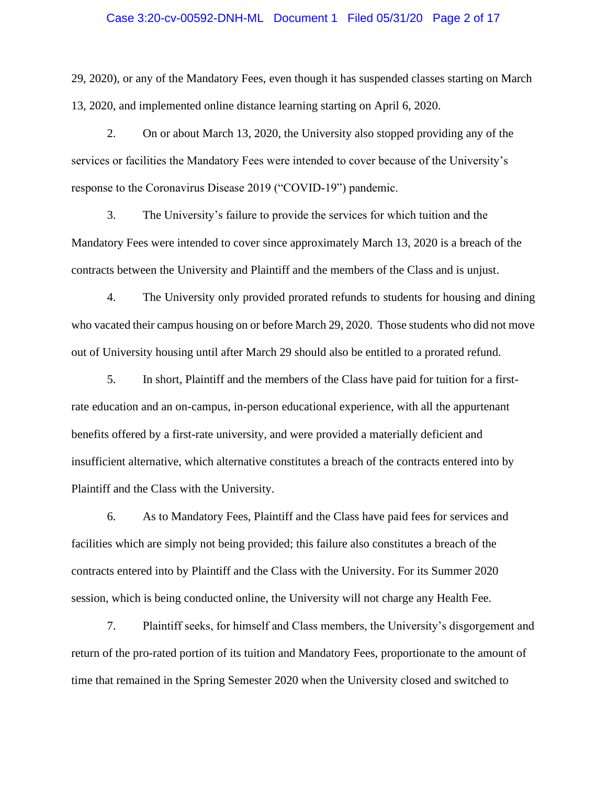#### Case 3:20-cv-00592-DNH-ML Document 1 Filed 05/31/20 Page 2 of 17

29, 2020), or any of the Mandatory Fees, even though it has suspended classes starting on March 13, 2020, and implemented online distance learning starting on April 6, 2020.

2. On or about March 13, 2020, the University also stopped providing any of the services or facilities the Mandatory Fees were intended to cover because of the University's response to the Coronavirus Disease 2019 ("COVID-19") pandemic.

3. The University's failure to provide the services for which tuition and the Mandatory Fees were intended to cover since approximately March 13, 2020 is a breach of the contracts between the University and Plaintiff and the members of the Class and is unjust.

4. The University only provided prorated refunds to students for housing and dining who vacated their campus housing on or before March 29, 2020. Those students who did not move out of University housing until after March 29 should also be entitled to a prorated refund.

5. In short, Plaintiff and the members of the Class have paid for tuition for a firstrate education and an on-campus, in-person educational experience, with all the appurtenant benefits offered by a first-rate university, and were provided a materially deficient and insufficient alternative, which alternative constitutes a breach of the contracts entered into by Plaintiff and the Class with the University.

6. As to Mandatory Fees, Plaintiff and the Class have paid fees for services and facilities which are simply not being provided; this failure also constitutes a breach of the contracts entered into by Plaintiff and the Class with the University. For its Summer 2020 session, which is being conducted online, the University will not charge any Health Fee.

7. Plaintiff seeks, for himself and Class members, the University's disgorgement and return of the pro-rated portion of its tuition and Mandatory Fees, proportionate to the amount of time that remained in the Spring Semester 2020 when the University closed and switched to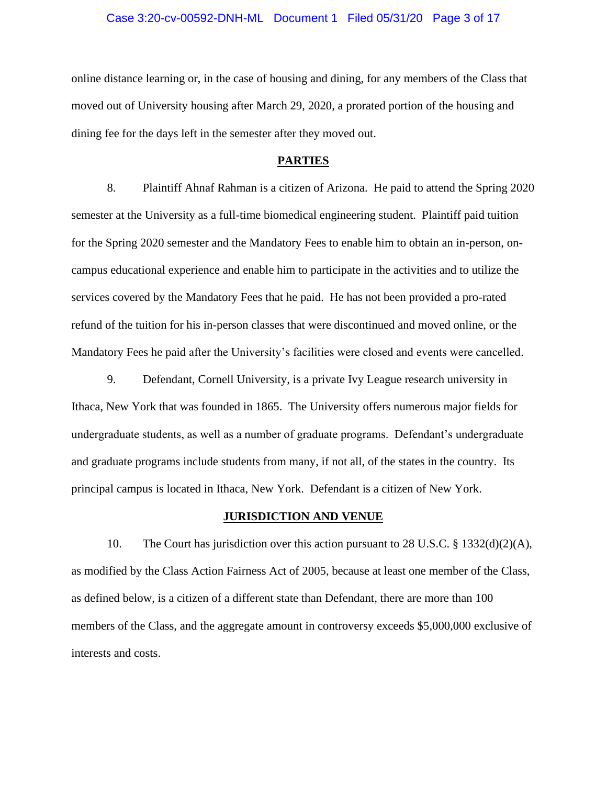#### Case 3:20-cv-00592-DNH-ML Document 1 Filed 05/31/20 Page 3 of 17

online distance learning or, in the case of housing and dining, for any members of the Class that moved out of University housing after March 29, 2020, a prorated portion of the housing and dining fee for the days left in the semester after they moved out.

#### **PARTIES**

8. Plaintiff Ahnaf Rahman is a citizen of Arizona. He paid to attend the Spring 2020 semester at the University as a full-time biomedical engineering student. Plaintiff paid tuition for the Spring 2020 semester and the Mandatory Fees to enable him to obtain an in-person, oncampus educational experience and enable him to participate in the activities and to utilize the services covered by the Mandatory Fees that he paid. He has not been provided a pro-rated refund of the tuition for his in-person classes that were discontinued and moved online, or the Mandatory Fees he paid after the University's facilities were closed and events were cancelled.

9. Defendant, Cornell University, is a private Ivy League research university in Ithaca, New York that was founded in 1865. The University offers numerous major fields for undergraduate students, as well as a number of graduate programs. Defendant's undergraduate and graduate programs include students from many, if not all, of the states in the country. Its principal campus is located in Ithaca, New York. Defendant is a citizen of New York.

#### **JURISDICTION AND VENUE**

10. The Court has jurisdiction over this action pursuant to 28 U.S.C. § 1332(d)(2)(A), as modified by the Class Action Fairness Act of 2005, because at least one member of the Class, as defined below, is a citizen of a different state than Defendant, there are more than 100 members of the Class, and the aggregate amount in controversy exceeds \$5,000,000 exclusive of interests and costs.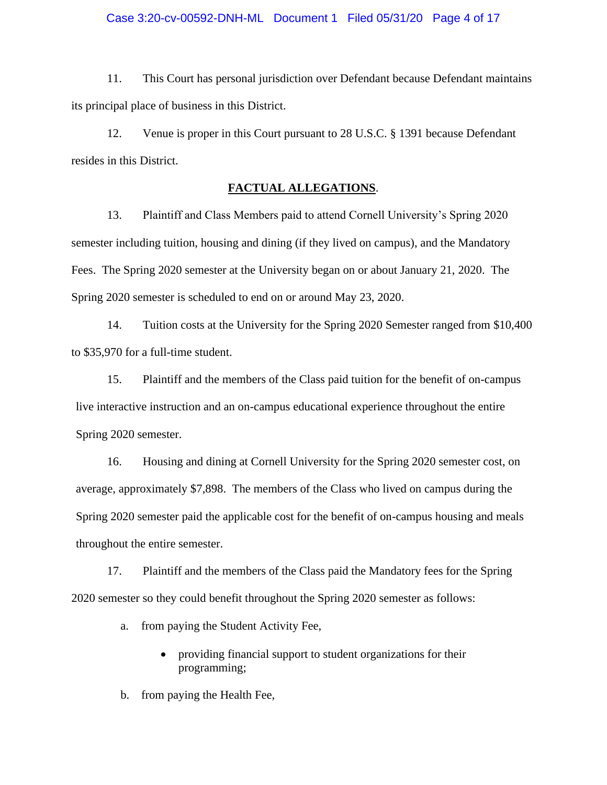11. This Court has personal jurisdiction over Defendant because Defendant maintains its principal place of business in this District.

12. Venue is proper in this Court pursuant to 28 U.S.C. § 1391 because Defendant resides in this District.

#### **FACTUAL ALLEGATIONS**.

13. Plaintiff and Class Members paid to attend Cornell University's Spring 2020 semester including tuition, housing and dining (if they lived on campus), and the Mandatory Fees. The Spring 2020 semester at the University began on or about January 21, 2020. The Spring 2020 semester is scheduled to end on or around May 23, 2020.

14. Tuition costs at the University for the Spring 2020 Semester ranged from \$10,400 to \$35,970 for a full-time student.

15. Plaintiff and the members of the Class paid tuition for the benefit of on-campus live interactive instruction and an on-campus educational experience throughout the entire Spring 2020 semester.

16. Housing and dining at Cornell University for the Spring 2020 semester cost, on average, approximately \$7,898. The members of the Class who lived on campus during the Spring 2020 semester paid the applicable cost for the benefit of on-campus housing and meals throughout the entire semester.

17. Plaintiff and the members of the Class paid the Mandatory fees for the Spring 2020 semester so they could benefit throughout the Spring 2020 semester as follows:

a. from paying the Student Activity Fee,

• providing financial support to student organizations for their programming;

b. from paying the Health Fee,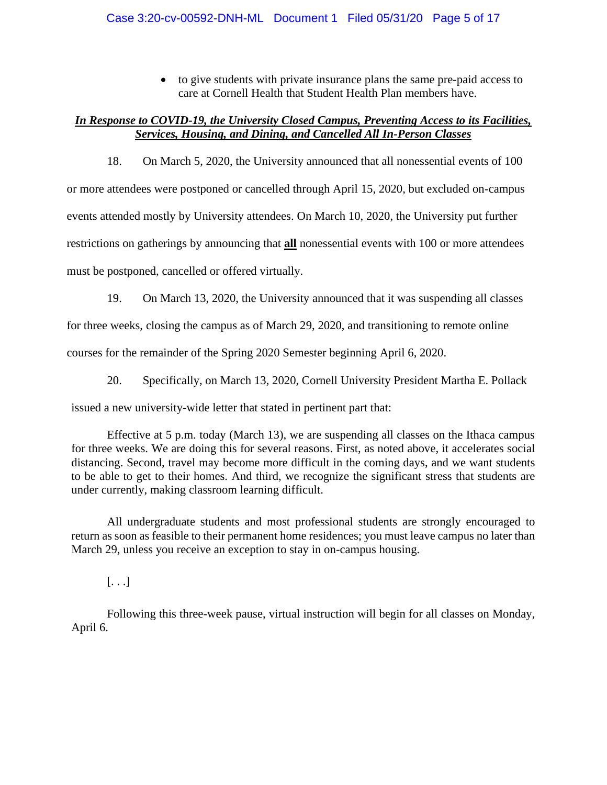• to give students with private insurance plans the same pre-paid access to care at Cornell Health that Student Health Plan members have.

## *In Response to COVID-19, the University Closed Campus, Preventing Access to its Facilities, Services, Housing, and Dining, and Cancelled All In-Person Classes*

18. On March 5, 2020, the University announced that all nonessential events of 100 or more attendees were postponed or cancelled through April 15, 2020, but excluded on-campus events attended mostly by University attendees. On March 10, 2020, the University put further restrictions on gatherings by announcing that **all** nonessential events with 100 or more attendees must be postponed, cancelled or offered virtually.

19. On March 13, 2020, the University announced that it was suspending all classes

for three weeks, closing the campus as of March 29, 2020, and transitioning to remote online

courses for the remainder of the Spring 2020 Semester beginning April 6, 2020.

20. Specifically, on March 13, 2020, Cornell University President Martha E. Pollack

issued a new university-wide letter that stated in pertinent part that:

Effective at 5 p.m. today (March 13), we are suspending all classes on the Ithaca campus for three weeks. We are doing this for several reasons. First, as noted above, it accelerates social distancing. Second, travel may become more difficult in the coming days, and we want students to be able to get to their homes. And third, we recognize the significant stress that students are under currently, making classroom learning difficult.

All undergraduate students and most professional students are strongly encouraged to return as soon as feasible to their permanent home residences; you must leave campus no later than March 29, unless you receive an exception to stay in on-campus housing.

[. . .]

Following this three-week pause, virtual instruction will begin for all classes on Monday, April 6.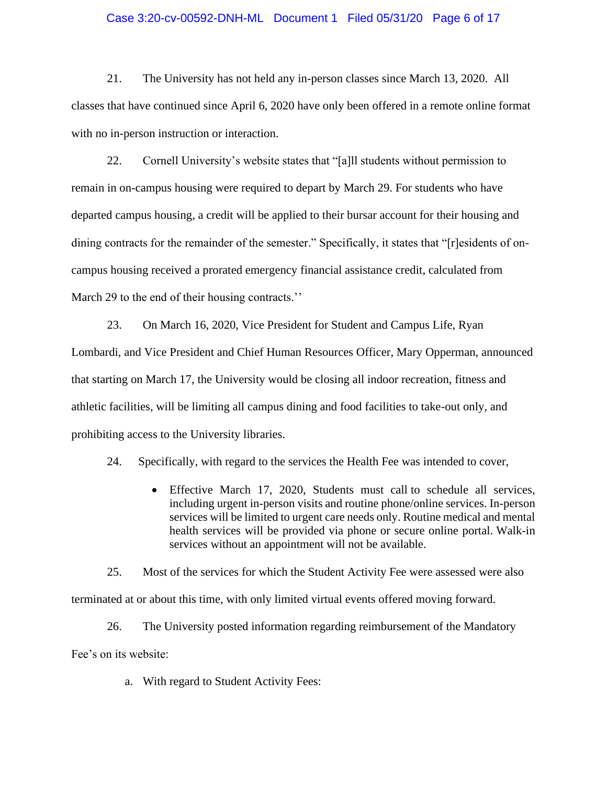#### Case 3:20-cv-00592-DNH-ML Document 1 Filed 05/31/20 Page 6 of 17

21. The University has not held any in-person classes since March 13, 2020. All classes that have continued since April 6, 2020 have only been offered in a remote online format with no in-person instruction or interaction.

22. Cornell University's website states that "[a]ll students without permission to remain in on-campus housing were required to depart by March 29. For students who have departed campus housing, a credit will be applied to their bursar account for their housing and dining contracts for the remainder of the semester." Specifically, it states that "[r]esidents of oncampus housing received a prorated emergency financial assistance credit, calculated from March 29 to the end of their housing contracts."

23. On March 16, 2020, Vice President for Student and Campus Life, Ryan Lombardi, and Vice President and Chief Human Resources Officer, Mary Opperman, announced that starting on March 17, the University would be closing all indoor recreation, fitness and athletic facilities, will be limiting all campus dining and food facilities to take-out only, and prohibiting access to the University libraries.

24. Specifically, with regard to the services the Health Fee was intended to cover,

• Effective March 17, 2020, Students must call to schedule all services, including urgent in-person visits and routine phone/online services. In-person services will be limited to urgent care needs only. Routine medical and mental health services will be provided via phone or secure online portal. Walk-in services without an appointment will not be available.

25. Most of the services for which the Student Activity Fee were assessed were also terminated at or about this time, with only limited virtual events offered moving forward.

26. The University posted information regarding reimbursement of the Mandatory Fee's on its website:

a. With regard to Student Activity Fees: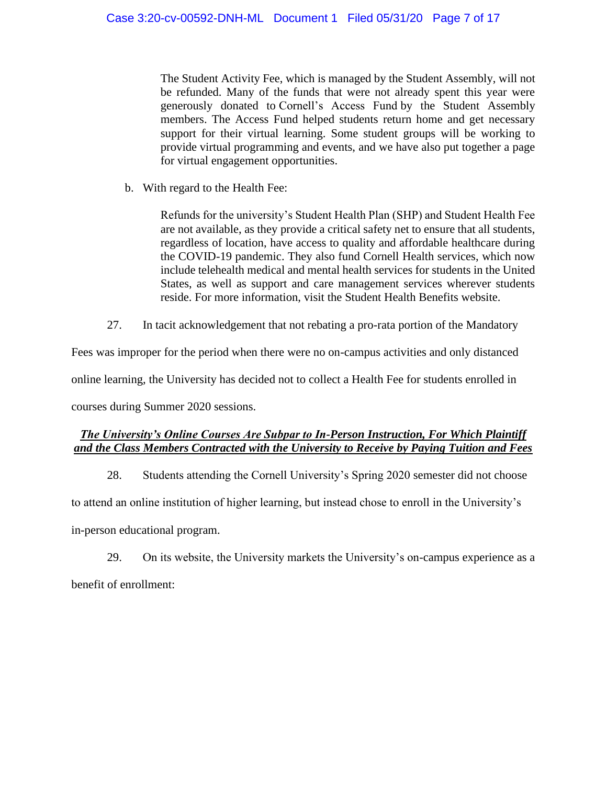The Student Activity Fee, which is managed by the Student Assembly, will not be refunded. Many of the funds that were not already spent this year were generously donated to Cornell's Access Fund by the Student Assembly members. The Access Fund helped students return home and get necessary support for their virtual learning. Some student groups will be working to provide virtual programming and events, and we have also put together a page for virtual engagement opportunities.

b. With regard to the Health Fee:

Refunds for the university's Student Health Plan (SHP) and Student Health Fee are not available, as they provide a critical safety net to ensure that all students, regardless of location, have access to quality and affordable healthcare during the COVID-19 pandemic. They also fund Cornell Health services, which now include telehealth medical and mental health services for students in the United States, as well as support and care management services wherever students reside. For more information, visit the Student Health Benefits website.

27. In tacit acknowledgement that not rebating a pro-rata portion of the Mandatory

Fees was improper for the period when there were no on-campus activities and only distanced

online learning, the University has decided not to collect a Health Fee for students enrolled in

courses during Summer 2020 sessions.

## *The University's Online Courses Are Subpar to In-Person Instruction, For Which Plaintiff and the Class Members Contracted with the University to Receive by Paying Tuition and Fees*

28. Students attending the Cornell University's Spring 2020 semester did not choose

to attend an online institution of higher learning, but instead chose to enroll in the University's

in-person educational program.

29. On its website, the University markets the University's on-campus experience as a benefit of enrollment: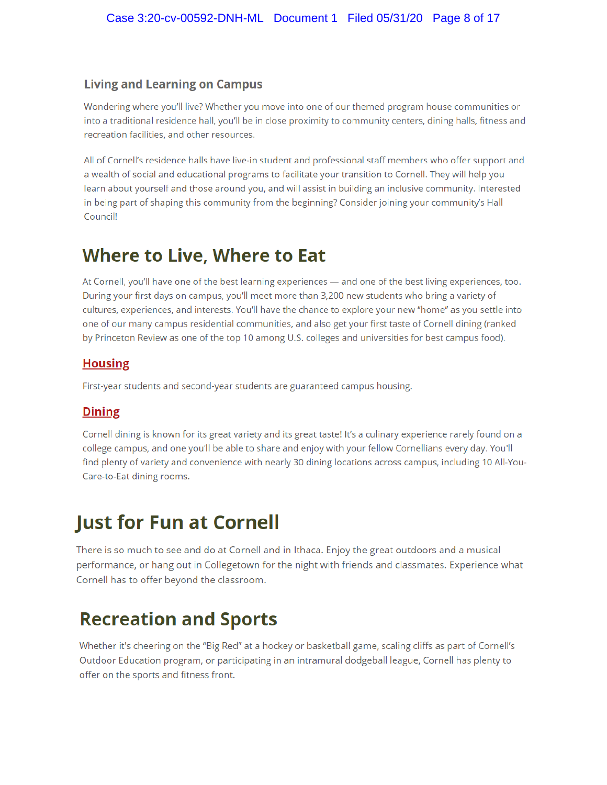## **Living and Learning on Campus**

Wondering where you'll live? Whether you move into one of our themed program house communities or into a traditional residence hall, you'll be in close proximity to community centers, dining halls, fitness and recreation facilities, and other resources.

All of Cornell's residence halls have live-in student and professional staff members who offer support and a wealth of social and educational programs to facilitate your transition to Cornell. They will help you learn about yourself and those around you, and will assist in building an inclusive community. Interested in being part of shaping this community from the beginning? Consider joining your community's Hall Council!

## **Where to Live, Where to Eat**

At Cornell, you'll have one of the best learning experiences - and one of the best living experiences, too. During your first days on campus, you'll meet more than 3,200 new students who bring a variety of cultures, experiences, and interests. You'll have the chance to explore your new "home" as you settle into one of our many campus residential communities, and also get your first taste of Cornell dining (ranked by Princeton Review as one of the top 10 among U.S. colleges and universities for best campus food).

## **Housing**

First-year students and second-year students are guaranteed campus housing.

## **Dining**

Cornell dining is known for its great variety and its great taste! It's a culinary experience rarely found on a college campus, and one you'll be able to share and enjoy with your fellow Cornellians every day. You'll find plenty of variety and convenience with nearly 30 dining locations across campus, including 10 All-You-Care-to-Eat dining rooms.

# **Just for Fun at Cornell**

There is so much to see and do at Cornell and in Ithaca. Enjoy the great outdoors and a musical performance, or hang out in Collegetown for the night with friends and classmates. Experience what Cornell has to offer beyond the classroom.

# **Recreation and Sports**

Whether it's cheering on the "Big Red" at a hockey or basketball game, scaling cliffs as part of Cornell's Outdoor Education program, or participating in an intramural dodgeball league, Cornell has plenty to offer on the sports and fitness front.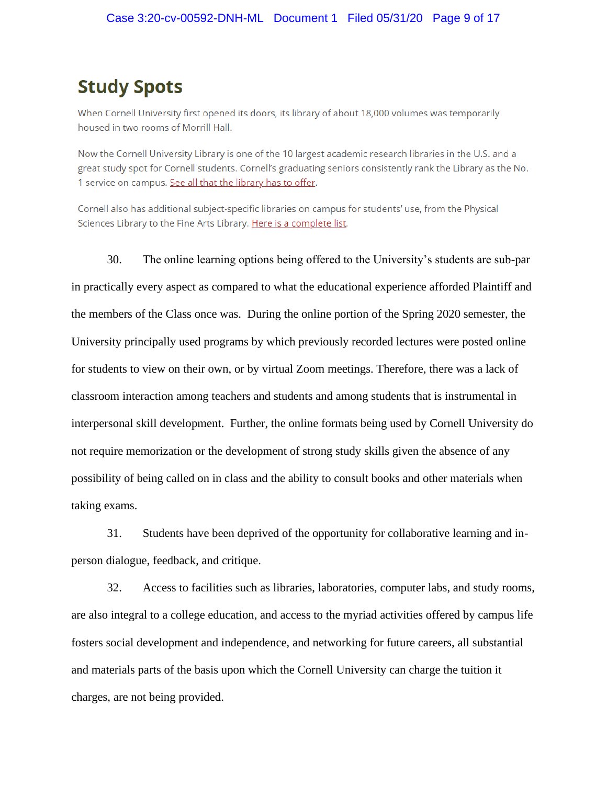## **Study Spots**

When Cornell University first opened its doors, its library of about 18,000 volumes was temporarily housed in two rooms of Morrill Hall.

Now the Cornell University Library is one of the 10 largest academic research libraries in the U.S. and a great study spot for Cornell students. Cornell's graduating seniors consistently rank the Library as the No. 1 service on campus. See all that the library has to offer.

Cornell also has additional subject-specific libraries on campus for students' use, from the Physical Sciences Library to the Fine Arts Library. Here is a complete list.

30. The online learning options being offered to the University's students are sub-par in practically every aspect as compared to what the educational experience afforded Plaintiff and the members of the Class once was. During the online portion of the Spring 2020 semester, the University principally used programs by which previously recorded lectures were posted online for students to view on their own, or by virtual Zoom meetings. Therefore, there was a lack of classroom interaction among teachers and students and among students that is instrumental in interpersonal skill development. Further, the online formats being used by Cornell University do not require memorization or the development of strong study skills given the absence of any possibility of being called on in class and the ability to consult books and other materials when taking exams.

31. Students have been deprived of the opportunity for collaborative learning and inperson dialogue, feedback, and critique.

32. Access to facilities such as libraries, laboratories, computer labs, and study rooms, are also integral to a college education, and access to the myriad activities offered by campus life fosters social development and independence, and networking for future careers, all substantial and materials parts of the basis upon which the Cornell University can charge the tuition it charges, are not being provided.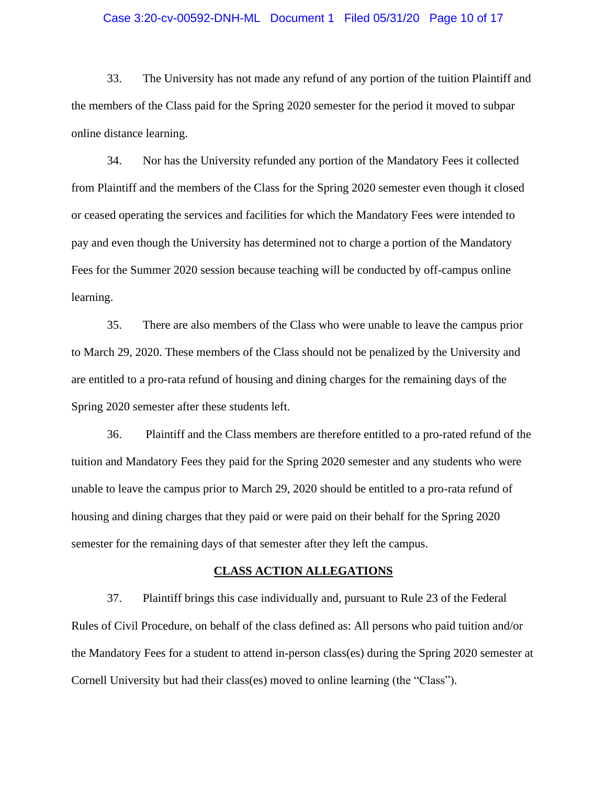#### Case 3:20-cv-00592-DNH-ML Document 1 Filed 05/31/20 Page 10 of 17

33. The University has not made any refund of any portion of the tuition Plaintiff and the members of the Class paid for the Spring 2020 semester for the period it moved to subpar online distance learning.

34. Nor has the University refunded any portion of the Mandatory Fees it collected from Plaintiff and the members of the Class for the Spring 2020 semester even though it closed or ceased operating the services and facilities for which the Mandatory Fees were intended to pay and even though the University has determined not to charge a portion of the Mandatory Fees for the Summer 2020 session because teaching will be conducted by off-campus online learning.

35. There are also members of the Class who were unable to leave the campus prior to March 29, 2020. These members of the Class should not be penalized by the University and are entitled to a pro-rata refund of housing and dining charges for the remaining days of the Spring 2020 semester after these students left.

36. Plaintiff and the Class members are therefore entitled to a pro-rated refund of the tuition and Mandatory Fees they paid for the Spring 2020 semester and any students who were unable to leave the campus prior to March 29, 2020 should be entitled to a pro-rata refund of housing and dining charges that they paid or were paid on their behalf for the Spring 2020 semester for the remaining days of that semester after they left the campus.

#### **CLASS ACTION ALLEGATIONS**

37. Plaintiff brings this case individually and, pursuant to Rule 23 of the Federal Rules of Civil Procedure, on behalf of the class defined as: All persons who paid tuition and/or the Mandatory Fees for a student to attend in-person class(es) during the Spring 2020 semester at Cornell University but had their class(es) moved to online learning (the "Class").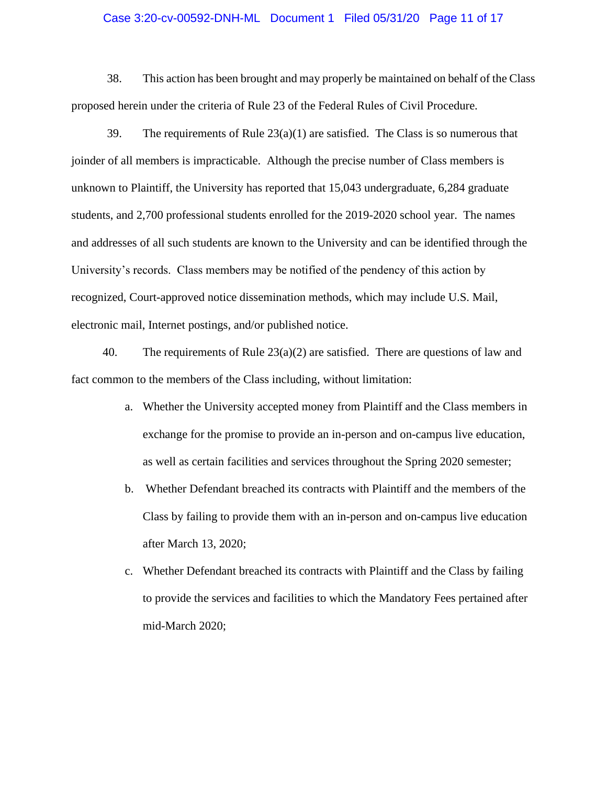#### Case 3:20-cv-00592-DNH-ML Document 1 Filed 05/31/20 Page 11 of 17

38. This action has been brought and may properly be maintained on behalf of the Class proposed herein under the criteria of Rule 23 of the Federal Rules of Civil Procedure.

39. The requirements of Rule  $23(a)(1)$  are satisfied. The Class is so numerous that joinder of all members is impracticable. Although the precise number of Class members is unknown to Plaintiff, the University has reported that 15,043 undergraduate, 6,284 graduate students, and 2,700 professional students enrolled for the 2019-2020 school year. The names and addresses of all such students are known to the University and can be identified through the University's records. Class members may be notified of the pendency of this action by recognized, Court-approved notice dissemination methods, which may include U.S. Mail, electronic mail, Internet postings, and/or published notice.

40. The requirements of Rule  $23(a)(2)$  are satisfied. There are questions of law and fact common to the members of the Class including, without limitation:

- a. Whether the University accepted money from Plaintiff and the Class members in exchange for the promise to provide an in-person and on-campus live education, as well as certain facilities and services throughout the Spring 2020 semester;
- b. Whether Defendant breached its contracts with Plaintiff and the members of the Class by failing to provide them with an in-person and on-campus live education after March 13, 2020;
- c. Whether Defendant breached its contracts with Plaintiff and the Class by failing to provide the services and facilities to which the Mandatory Fees pertained after mid-March 2020;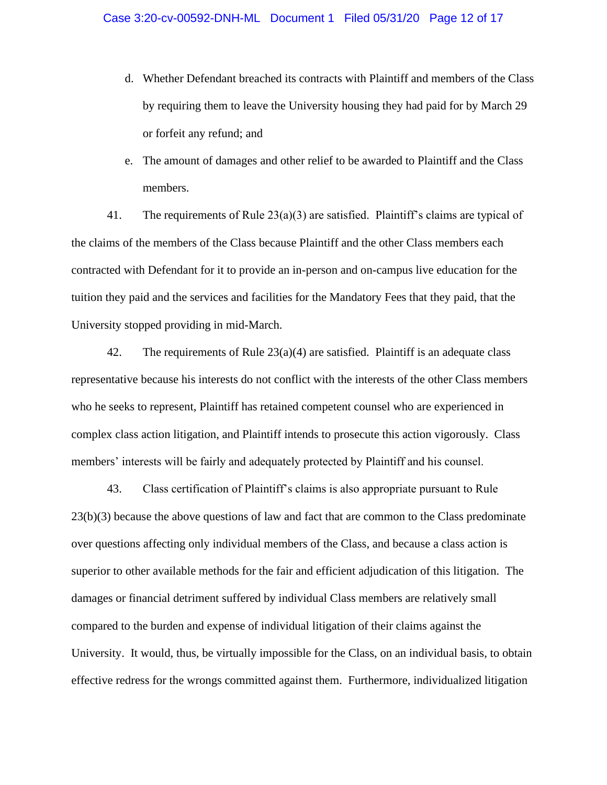- d. Whether Defendant breached its contracts with Plaintiff and members of the Class by requiring them to leave the University housing they had paid for by March 29 or forfeit any refund; and
- e. The amount of damages and other relief to be awarded to Plaintiff and the Class members.

41. The requirements of Rule 23(a)(3) are satisfied. Plaintiff's claims are typical of the claims of the members of the Class because Plaintiff and the other Class members each contracted with Defendant for it to provide an in-person and on-campus live education for the tuition they paid and the services and facilities for the Mandatory Fees that they paid, that the University stopped providing in mid-March.

42. The requirements of Rule  $23(a)(4)$  are satisfied. Plaintiff is an adequate class representative because his interests do not conflict with the interests of the other Class members who he seeks to represent, Plaintiff has retained competent counsel who are experienced in complex class action litigation, and Plaintiff intends to prosecute this action vigorously. Class members' interests will be fairly and adequately protected by Plaintiff and his counsel.

43. Class certification of Plaintiff's claims is also appropriate pursuant to Rule 23(b)(3) because the above questions of law and fact that are common to the Class predominate over questions affecting only individual members of the Class, and because a class action is superior to other available methods for the fair and efficient adjudication of this litigation. The damages or financial detriment suffered by individual Class members are relatively small compared to the burden and expense of individual litigation of their claims against the University. It would, thus, be virtually impossible for the Class, on an individual basis, to obtain effective redress for the wrongs committed against them. Furthermore, individualized litigation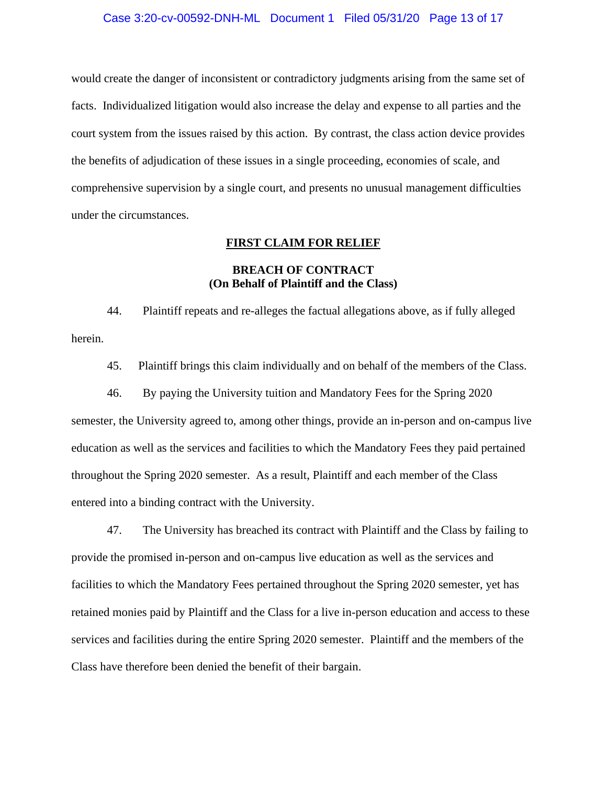#### Case 3:20-cv-00592-DNH-ML Document 1 Filed 05/31/20 Page 13 of 17

would create the danger of inconsistent or contradictory judgments arising from the same set of facts. Individualized litigation would also increase the delay and expense to all parties and the court system from the issues raised by this action. By contrast, the class action device provides the benefits of adjudication of these issues in a single proceeding, economies of scale, and comprehensive supervision by a single court, and presents no unusual management difficulties under the circumstances.

#### **FIRST CLAIM FOR RELIEF**

### **BREACH OF CONTRACT (On Behalf of Plaintiff and the Class)**

44. Plaintiff repeats and re-alleges the factual allegations above, as if fully alleged herein.

45. Plaintiff brings this claim individually and on behalf of the members of the Class.

46. By paying the University tuition and Mandatory Fees for the Spring 2020 semester, the University agreed to, among other things, provide an in-person and on-campus live education as well as the services and facilities to which the Mandatory Fees they paid pertained throughout the Spring 2020 semester. As a result, Plaintiff and each member of the Class entered into a binding contract with the University.

47. The University has breached its contract with Plaintiff and the Class by failing to provide the promised in-person and on-campus live education as well as the services and facilities to which the Mandatory Fees pertained throughout the Spring 2020 semester, yet has retained monies paid by Plaintiff and the Class for a live in-person education and access to these services and facilities during the entire Spring 2020 semester. Plaintiff and the members of the Class have therefore been denied the benefit of their bargain.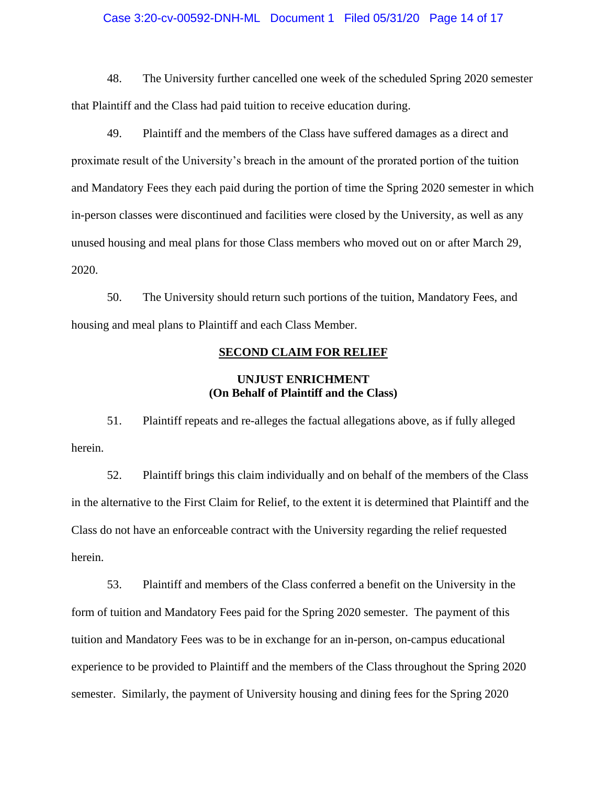#### Case 3:20-cv-00592-DNH-ML Document 1 Filed 05/31/20 Page 14 of 17

48. The University further cancelled one week of the scheduled Spring 2020 semester that Plaintiff and the Class had paid tuition to receive education during.

49. Plaintiff and the members of the Class have suffered damages as a direct and proximate result of the University's breach in the amount of the prorated portion of the tuition and Mandatory Fees they each paid during the portion of time the Spring 2020 semester in which in-person classes were discontinued and facilities were closed by the University, as well as any unused housing and meal plans for those Class members who moved out on or after March 29, 2020.

50. The University should return such portions of the tuition, Mandatory Fees, and housing and meal plans to Plaintiff and each Class Member.

#### **SECOND CLAIM FOR RELIEF**

### **UNJUST ENRICHMENT (On Behalf of Plaintiff and the Class)**

51. Plaintiff repeats and re-alleges the factual allegations above, as if fully alleged herein.

52. Plaintiff brings this claim individually and on behalf of the members of the Class in the alternative to the First Claim for Relief, to the extent it is determined that Plaintiff and the Class do not have an enforceable contract with the University regarding the relief requested herein.

53. Plaintiff and members of the Class conferred a benefit on the University in the form of tuition and Mandatory Fees paid for the Spring 2020 semester. The payment of this tuition and Mandatory Fees was to be in exchange for an in-person, on-campus educational experience to be provided to Plaintiff and the members of the Class throughout the Spring 2020 semester. Similarly, the payment of University housing and dining fees for the Spring 2020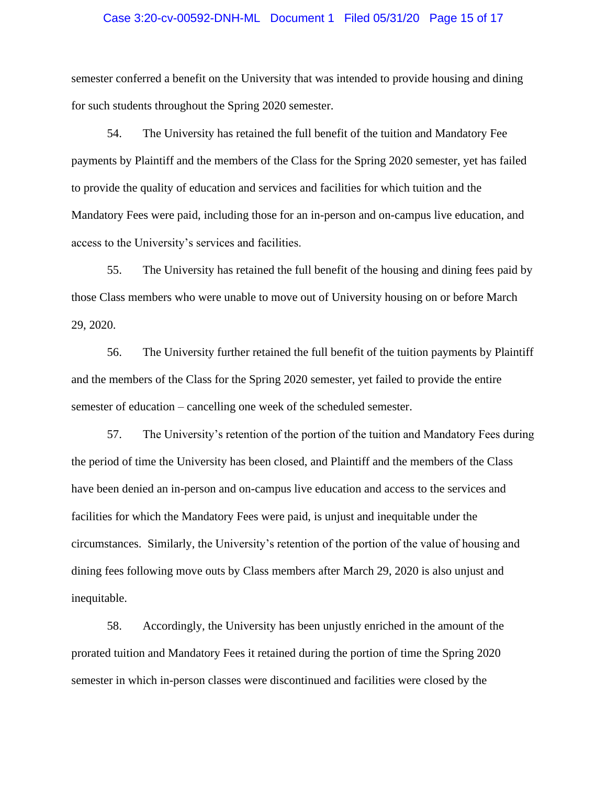#### Case 3:20-cv-00592-DNH-ML Document 1 Filed 05/31/20 Page 15 of 17

semester conferred a benefit on the University that was intended to provide housing and dining for such students throughout the Spring 2020 semester.

54. The University has retained the full benefit of the tuition and Mandatory Fee payments by Plaintiff and the members of the Class for the Spring 2020 semester, yet has failed to provide the quality of education and services and facilities for which tuition and the Mandatory Fees were paid, including those for an in-person and on-campus live education, and access to the University's services and facilities.

55. The University has retained the full benefit of the housing and dining fees paid by those Class members who were unable to move out of University housing on or before March 29, 2020.

56. The University further retained the full benefit of the tuition payments by Plaintiff and the members of the Class for the Spring 2020 semester, yet failed to provide the entire semester of education – cancelling one week of the scheduled semester.

57. The University's retention of the portion of the tuition and Mandatory Fees during the period of time the University has been closed, and Plaintiff and the members of the Class have been denied an in-person and on-campus live education and access to the services and facilities for which the Mandatory Fees were paid, is unjust and inequitable under the circumstances. Similarly, the University's retention of the portion of the value of housing and dining fees following move outs by Class members after March 29, 2020 is also unjust and inequitable.

58. Accordingly, the University has been unjustly enriched in the amount of the prorated tuition and Mandatory Fees it retained during the portion of time the Spring 2020 semester in which in-person classes were discontinued and facilities were closed by the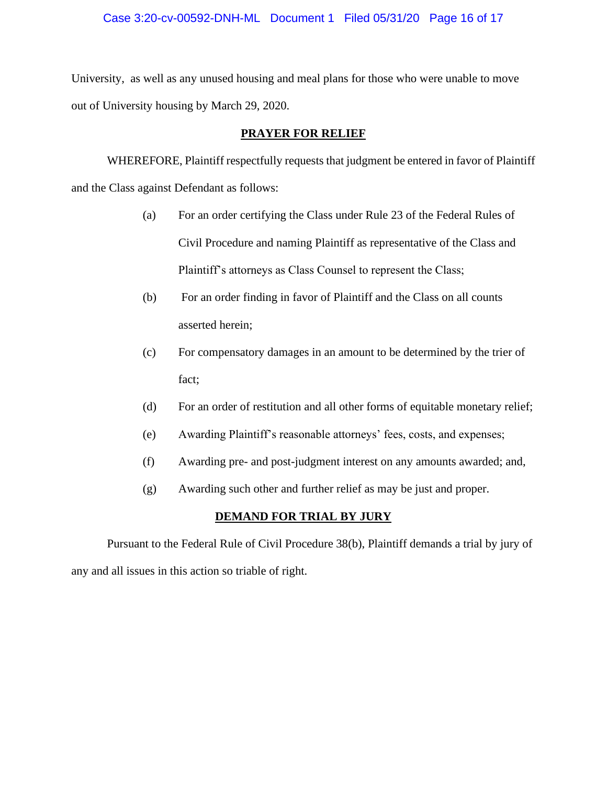#### Case 3:20-cv-00592-DNH-ML Document 1 Filed 05/31/20 Page 16 of 17

University, as well as any unused housing and meal plans for those who were unable to move out of University housing by March 29, 2020.

#### **PRAYER FOR RELIEF**

WHEREFORE, Plaintiff respectfully requests that judgment be entered in favor of Plaintiff and the Class against Defendant as follows:

- (a) For an order certifying the Class under Rule 23 of the Federal Rules of Civil Procedure and naming Plaintiff as representative of the Class and Plaintiff's attorneys as Class Counsel to represent the Class;
- (b) For an order finding in favor of Plaintiff and the Class on all counts asserted herein;
- (c) For compensatory damages in an amount to be determined by the trier of fact;
- (d) For an order of restitution and all other forms of equitable monetary relief;
- (e) Awarding Plaintiff's reasonable attorneys' fees, costs, and expenses;
- (f) Awarding pre- and post-judgment interest on any amounts awarded; and,
- (g) Awarding such other and further relief as may be just and proper.

#### **DEMAND FOR TRIAL BY JURY**

Pursuant to the Federal Rule of Civil Procedure 38(b), Plaintiff demands a trial by jury of any and all issues in this action so triable of right.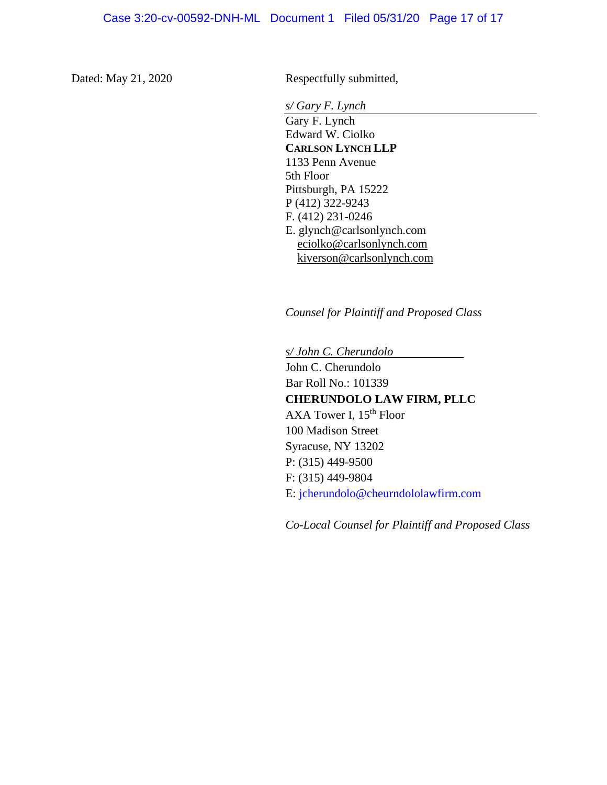Dated: May 21, 2020 Respectfully submitted,

*s/ Gary F. Lynch*

Gary F. Lynch Edward W. Ciolko **CARLSON LYNCH LLP** 1133 Penn Avenue 5th Floor Pittsburgh, PA 15222 P (412) 322-9243 F. (412) 231-0246 E. glynch@carlsonlynch.com eciolko@carlsonlynch.com kiverson@carlsonlynch.com

*Counsel for Plaintiff and Proposed Class*

*s/ John C. Cherundolo* John C. Cherundolo Bar Roll No.: 101339 **CHERUNDOLO LAW FIRM, PLLC** AXA Tower I,  $15<sup>th</sup>$  Floor 100 Madison Street Syracuse, NY 13202 P: (315) 449-9500 F: (315) 449-9804 E: jcherundolo@cheurndololawfirm.com

*Co-Local Counsel for Plaintiff and Proposed Class*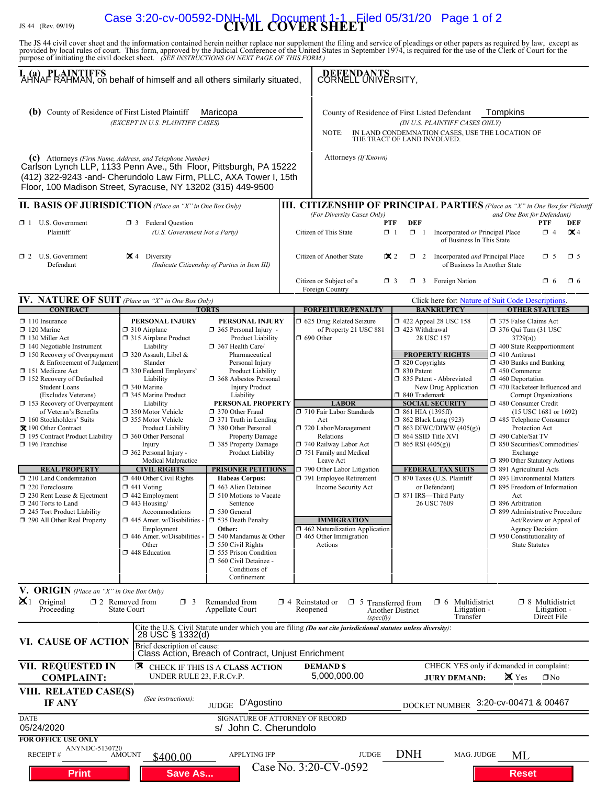# JS 44 (Rev. 09/19) **CIVIL COVER SHEET** Case 3:20-cv-00592-DNH-ML Document 1-1 Filed 05/31/20 Page 1 of 2

The JS 44 civil cover sheet and the information contained herein neither replace nor supplement the filing and service of pleadings or other papers as required by law, except as provided by local rules of court. This form,

| I. (a) PLAINTIFFS<br>AHNAF RAHMAN, on behalf of himself and all others similarly situated,                                                                                                                                                                                                                                                                                                                                                                                                                                                                                                                                                                  |                                                                                                                                                                                                                                                                                                                                                                                                                                                                                                                                                                                                                              | DEFENDANTS<br>CORNELL UNIVERSITY,                                                                                                                                                                                                                                                                                                                                                                                                                                                                                                                                                                                                                                                                                              |                                                                                                                                                                                                                                                          |                                                                                                                                                                                                                                                                                                                                                                                                                       |                                                                                                                                                                                                                                                                                                                                                                                                                                                                                                                             |                                                                 |                                                                                                                                                                                                                                                                                                                                                                                                                                                                                                                                                                                                                                                                                                                                                                           |                                                       |  |  |  |
|-------------------------------------------------------------------------------------------------------------------------------------------------------------------------------------------------------------------------------------------------------------------------------------------------------------------------------------------------------------------------------------------------------------------------------------------------------------------------------------------------------------------------------------------------------------------------------------------------------------------------------------------------------------|------------------------------------------------------------------------------------------------------------------------------------------------------------------------------------------------------------------------------------------------------------------------------------------------------------------------------------------------------------------------------------------------------------------------------------------------------------------------------------------------------------------------------------------------------------------------------------------------------------------------------|--------------------------------------------------------------------------------------------------------------------------------------------------------------------------------------------------------------------------------------------------------------------------------------------------------------------------------------------------------------------------------------------------------------------------------------------------------------------------------------------------------------------------------------------------------------------------------------------------------------------------------------------------------------------------------------------------------------------------------|----------------------------------------------------------------------------------------------------------------------------------------------------------------------------------------------------------------------------------------------------------|-----------------------------------------------------------------------------------------------------------------------------------------------------------------------------------------------------------------------------------------------------------------------------------------------------------------------------------------------------------------------------------------------------------------------|-----------------------------------------------------------------------------------------------------------------------------------------------------------------------------------------------------------------------------------------------------------------------------------------------------------------------------------------------------------------------------------------------------------------------------------------------------------------------------------------------------------------------------|-----------------------------------------------------------------|---------------------------------------------------------------------------------------------------------------------------------------------------------------------------------------------------------------------------------------------------------------------------------------------------------------------------------------------------------------------------------------------------------------------------------------------------------------------------------------------------------------------------------------------------------------------------------------------------------------------------------------------------------------------------------------------------------------------------------------------------------------------------|-------------------------------------------------------|--|--|--|
| <b>(b)</b> County of Residence of First Listed Plaintiff<br>Maricopa<br>(EXCEPT IN U.S. PLAINTIFF CASES)<br>(c) Attorneys (Firm Name, Address, and Telephone Number)<br>Carlson Lynch LLP, 1133 Penn Ave., 5th Floor, Pittsburgh, PA 15222<br>(412) 322-9243 -and- Cherundolo Law Firm, PLLC, AXA Tower I, 15th<br>Floor, 100 Madison Street, Syracuse, NY 13202 (315) 449-9500                                                                                                                                                                                                                                                                             |                                                                                                                                                                                                                                                                                                                                                                                                                                                                                                                                                                                                                              |                                                                                                                                                                                                                                                                                                                                                                                                                                                                                                                                                                                                                                                                                                                                |                                                                                                                                                                                                                                                          | County of Residence of First Listed Defendant<br>Tompkins<br>(IN U.S. PLAINTIFF CASES ONLY)<br>IN LAND CONDEMNATION CASES, USE THE LOCATION OF<br>NOTE:<br>THE TRACT OF LAND INVOLVED.<br>Attorneys (If Known)                                                                                                                                                                                                        |                                                                                                                                                                                                                                                                                                                                                                                                                                                                                                                             |                                                                 |                                                                                                                                                                                                                                                                                                                                                                                                                                                                                                                                                                                                                                                                                                                                                                           |                                                       |  |  |  |
| II. BASIS OF JURISDICTION (Place an "X" in One Box Only)                                                                                                                                                                                                                                                                                                                                                                                                                                                                                                                                                                                                    |                                                                                                                                                                                                                                                                                                                                                                                                                                                                                                                                                                                                                              |                                                                                                                                                                                                                                                                                                                                                                                                                                                                                                                                                                                                                                                                                                                                |                                                                                                                                                                                                                                                          | <b>III. CITIZENSHIP OF PRINCIPAL PARTIES</b> (Place an "X" in One Box for Plaintiff                                                                                                                                                                                                                                                                                                                                   |                                                                                                                                                                                                                                                                                                                                                                                                                                                                                                                             |                                                                 |                                                                                                                                                                                                                                                                                                                                                                                                                                                                                                                                                                                                                                                                                                                                                                           |                                                       |  |  |  |
| $\Box$ 1 U.S. Government<br><b>1</b> 3 Federal Question<br>Plaintiff<br>(U.S. Government Not a Party)                                                                                                                                                                                                                                                                                                                                                                                                                                                                                                                                                       |                                                                                                                                                                                                                                                                                                                                                                                                                                                                                                                                                                                                                              |                                                                                                                                                                                                                                                                                                                                                                                                                                                                                                                                                                                                                                                                                                                                | (For Diversity Cases Only)<br>and One Box for Defendant)<br><b>DEF</b><br><b>PTF</b><br><b>PTF</b><br>DEF<br>Citizen of This State<br>$\Box$ 1<br>$\Box$ 1<br>Incorporated or Principal Place<br>$\Box$ 4<br>$\mathbf{X}$ 4<br>of Business In This State |                                                                                                                                                                                                                                                                                                                                                                                                                       |                                                                                                                                                                                                                                                                                                                                                                                                                                                                                                                             |                                                                 |                                                                                                                                                                                                                                                                                                                                                                                                                                                                                                                                                                                                                                                                                                                                                                           |                                                       |  |  |  |
| $\Box$ 2 U.S. Government<br>Defendant                                                                                                                                                                                                                                                                                                                                                                                                                                                                                                                                                                                                                       | $\mathbb{Z}$ 4<br>Diversity<br>(Indicate Citizenship of Parties in Item III)                                                                                                                                                                                                                                                                                                                                                                                                                                                                                                                                                 |                                                                                                                                                                                                                                                                                                                                                                                                                                                                                                                                                                                                                                                                                                                                |                                                                                                                                                                                                                                                          | Citizen of Another State<br>$\mathbf{\times} 2$<br>1 2 Incorporated and Principal Place<br>$\Box$ 5<br>$\square$ 5<br>of Business In Another State<br>Citizen or Subject of a<br>$\Box$ 3 Foreign Nation<br>$\Box$ 6<br>$\Box$ 6<br>$\Box$ 3                                                                                                                                                                          |                                                                                                                                                                                                                                                                                                                                                                                                                                                                                                                             |                                                                 |                                                                                                                                                                                                                                                                                                                                                                                                                                                                                                                                                                                                                                                                                                                                                                           |                                                       |  |  |  |
|                                                                                                                                                                                                                                                                                                                                                                                                                                                                                                                                                                                                                                                             |                                                                                                                                                                                                                                                                                                                                                                                                                                                                                                                                                                                                                              |                                                                                                                                                                                                                                                                                                                                                                                                                                                                                                                                                                                                                                                                                                                                |                                                                                                                                                                                                                                                          | Foreign Country                                                                                                                                                                                                                                                                                                                                                                                                       |                                                                                                                                                                                                                                                                                                                                                                                                                                                                                                                             |                                                                 |                                                                                                                                                                                                                                                                                                                                                                                                                                                                                                                                                                                                                                                                                                                                                                           |                                                       |  |  |  |
| <b>IV. NATURE OF SUIT</b> (Place an "X" in One Box Only)<br><b>CONTRACT</b>                                                                                                                                                                                                                                                                                                                                                                                                                                                                                                                                                                                 |                                                                                                                                                                                                                                                                                                                                                                                                                                                                                                                                                                                                                              |                                                                                                                                                                                                                                                                                                                                                                                                                                                                                                                                                                                                                                                                                                                                |                                                                                                                                                                                                                                                          | <b>FORFEITURE/PENALTY</b>                                                                                                                                                                                                                                                                                                                                                                                             |                                                                                                                                                                                                                                                                                                                                                                                                                                                                                                                             |                                                                 | Click here for: Nature of Suit Code Descriptions.                                                                                                                                                                                                                                                                                                                                                                                                                                                                                                                                                                                                                                                                                                                         |                                                       |  |  |  |
| $\Box$ 110 Insurance<br>$\Box$ 120 Marine<br>$\Box$ 130 Miller Act<br>$\Box$ 140 Negotiable Instrument<br>$\Box$ 150 Recovery of Overpayment<br>& Enforcement of Judgment<br>151 Medicare Act<br>□ 152 Recovery of Defaulted<br><b>Student Loans</b><br>(Excludes Veterans)<br>$\Box$ 153 Recovery of Overpayment<br>of Veteran's Benefits<br>$\Box$ 160 Stockholders' Suits<br>X 190 Other Contract<br>□ 195 Contract Product Liability<br>196 Franchise<br><b>REAL PROPERTY</b><br>210 Land Condemnation<br>220 Foreclosure<br>$\Box$ 230 Rent Lease & Ejectment<br>$\Box$ 240 Torts to Land<br>245 Tort Product Liability<br>290 All Other Real Property | PERSONAL INJURY<br>$\Box$ 310 Airplane<br>□ 315 Airplane Product<br>Liability<br>$\Box$ 320 Assault, Libel &<br>Slander<br>□ 330 Federal Employers'<br>Liability<br>□ 340 Marine<br>345 Marine Product<br>Liability<br>□ 350 Motor Vehicle<br>□ 355 Motor Vehicle<br>Product Liability<br>360 Other Personal<br>Injury<br>362 Personal Injury -<br>Medical Malpractice<br><b>CIVIL RIGHTS</b><br>$\Box$ 440 Other Civil Rights<br>$\Box$ 441 Voting<br>$\Box$ 442 Employment<br>$\Box$ 443 Housing/<br>Accommodations<br>$\Box$ 445 Amer. w/Disabilities<br>Employment<br>446 Amer. w/Disabilities<br>Other<br>448 Education | <b>TORTS</b><br>PERSONAL INJURY<br>$\Box$ 365 Personal Injury -<br>Product Liability<br>367 Health Care/<br>Pharmaceutical<br>Personal Injury<br>Product Liability<br>□ 368 Asbestos Personal<br><b>Injury Product</b><br>Liability<br>PERSONAL PROPERTY<br>□ 370 Other Fraud<br>$\Box$ 371 Truth in Lending<br>380 Other Personal<br><b>Property Damage</b><br>□ 385 Property Damage<br>Product Liability<br><b>PRISONER PETITIONS</b><br><b>Habeas Corpus:</b><br>7 463 Alien Detainee<br>$\Box$ 510 Motions to Vacate<br>Sentence<br>□ 530 General<br>535 Death Penalty<br>Other:<br>$\Box$ 540 Mandamus & Other<br>$\Box$ 550 Civil Rights<br>555 Prison Condition<br>560 Civil Detainee -<br>Conditions of<br>Confinement |                                                                                                                                                                                                                                                          | 5 625 Drug Related Seizure<br>of Property 21 USC 881<br>$\Box$ 690 Other<br><b>LABOR</b><br>710 Fair Labor Standards<br>Act<br>720 Labor/Management<br>Relations<br>740 Railway Labor Act<br>751 Family and Medical<br>Leave Act<br>790 Other Labor Litigation<br>791 Employee Retirement<br>Income Security Act<br><b>IMMIGRATION</b><br>□ 462 Naturalization Application<br>$\Box$ 465 Other Immigration<br>Actions | <b>BANKRUPTCY</b><br>158 422 Appeal 28 USC 158<br>$\Box$ 423 Withdrawal<br>28 USC 157<br><b>PROPERTY RIGHTS</b><br>$\Box$ 820 Copyrights<br>□ 830 Patent<br>335 Patent - Abbreviated<br>New Drug Application<br>□ 840 Trademark<br><b>SOCIAL SECURITY</b><br>$\Box$ 861 HIA (1395ff)<br>$\Box$ 862 Black Lung (923)<br>$\Box$ 863 DIWC/DIWW (405(g))<br>□ 864 SSID Title XVI<br>$\Box$ 865 RSI (405(g))<br><b>FEDERAL TAX SUITS</b><br>□ 870 Taxes (U.S. Plaintiff<br>or Defendant)<br>□ 871 IRS-Third Party<br>26 USC 7609 |                                                                 | <b>OTHER STATUTES</b><br>375 False Claims Act<br>$\Box$ 376 Qui Tam (31 USC<br>3729(a)<br>$\Box$ 400 State Reapportionment<br>$\Box$ 410 Antitrust<br>1 430 Banks and Banking<br>$\Box$ 450 Commerce<br>$\Box$ 460 Deportation<br>□ 470 Racketeer Influenced and<br>Corrupt Organizations<br>480 Consumer Credit<br>(15 USC 1681 or 1692)<br>□ 485 Telephone Consumer<br>Protection Act<br>□ 490 Cable/Sat TV<br>□ 850 Securities/Commodities/<br>Exchange<br>□ 890 Other Statutory Actions<br>□ 891 Agricultural Acts<br>□ 893 Environmental Matters<br>$\Box$ 895 Freedom of Information<br>Act<br>□ 896 Arbitration<br>□ 899 Administrative Procedure<br>Act/Review or Appeal of<br><b>Agency Decision</b><br>$\Box$ 950 Constitutionality of<br><b>State Statutes</b> |                                                       |  |  |  |
| V. ORIGIN (Place an "X" in One Box Only)<br>$\mathbf{X}$ 1 Original<br>Proceeding                                                                                                                                                                                                                                                                                                                                                                                                                                                                                                                                                                           | $\Box$ 2 Removed from<br>$\Box$ 3<br><b>State Court</b>                                                                                                                                                                                                                                                                                                                                                                                                                                                                                                                                                                      | Remanded from<br>Appellate Court                                                                                                                                                                                                                                                                                                                                                                                                                                                                                                                                                                                                                                                                                               | $\Box$ 4 Reinstated or                                                                                                                                                                                                                                   | $\Box$ 5 Transferred from<br>Reopened<br>(specify)                                                                                                                                                                                                                                                                                                                                                                    | Another District                                                                                                                                                                                                                                                                                                                                                                                                                                                                                                            | Multidistrict<br>$\Box$ 6<br>Litigation -<br>Transfer           |                                                                                                                                                                                                                                                                                                                                                                                                                                                                                                                                                                                                                                                                                                                                                                           | $\Box$ 8 Multidistrict<br>Litigation -<br>Direct File |  |  |  |
| VI. CAUSE OF ACTION<br><b>VII. REQUESTED IN</b><br><b>COMPLAINT:</b>                                                                                                                                                                                                                                                                                                                                                                                                                                                                                                                                                                                        | 28 USC § 1332(d)<br>Brief description of cause:<br>UNDER RULE 23, F.R.Cv.P.                                                                                                                                                                                                                                                                                                                                                                                                                                                                                                                                                  | Class Action, Breach of Contract, Unjust Enrichment<br><b>E</b> CHECK IF THIS IS A CLASS ACTION                                                                                                                                                                                                                                                                                                                                                                                                                                                                                                                                                                                                                                |                                                                                                                                                                                                                                                          | Cite the U.S. Civil Statute under which you are filing (Do not cite jurisdictional statutes unless diversity):<br><b>DEMANDS</b><br>5,000,000.00                                                                                                                                                                                                                                                                      |                                                                                                                                                                                                                                                                                                                                                                                                                                                                                                                             | CHECK YES only if demanded in complaint:<br><b>JURY DEMAND:</b> | <b>X</b> Yes                                                                                                                                                                                                                                                                                                                                                                                                                                                                                                                                                                                                                                                                                                                                                              | $\Box$ No                                             |  |  |  |
| VIII. RELATED CASE(S)<br><b>IF ANY</b>                                                                                                                                                                                                                                                                                                                                                                                                                                                                                                                                                                                                                      | (See instructions):                                                                                                                                                                                                                                                                                                                                                                                                                                                                                                                                                                                                          | D'Agostino<br><b>JUDGE</b>                                                                                                                                                                                                                                                                                                                                                                                                                                                                                                                                                                                                                                                                                                     |                                                                                                                                                                                                                                                          |                                                                                                                                                                                                                                                                                                                                                                                                                       |                                                                                                                                                                                                                                                                                                                                                                                                                                                                                                                             | <b>DOCKET NUMBER</b>                                            | 3:20-cv-00471 & 00467                                                                                                                                                                                                                                                                                                                                                                                                                                                                                                                                                                                                                                                                                                                                                     |                                                       |  |  |  |
| <b>DATE</b><br>05/24/2020<br><b>FOR OFFICE USE ONLY</b>                                                                                                                                                                                                                                                                                                                                                                                                                                                                                                                                                                                                     |                                                                                                                                                                                                                                                                                                                                                                                                                                                                                                                                                                                                                              | SIGNATURE OF ATTORNEY OF RECORD<br>s/ John C. Cherundolo                                                                                                                                                                                                                                                                                                                                                                                                                                                                                                                                                                                                                                                                       |                                                                                                                                                                                                                                                          |                                                                                                                                                                                                                                                                                                                                                                                                                       |                                                                                                                                                                                                                                                                                                                                                                                                                                                                                                                             |                                                                 |                                                                                                                                                                                                                                                                                                                                                                                                                                                                                                                                                                                                                                                                                                                                                                           |                                                       |  |  |  |
| ANYNDC-5130720<br>RECEIPT#<br><b>Print</b>                                                                                                                                                                                                                                                                                                                                                                                                                                                                                                                                                                                                                  | AMOUNT<br>\$400.00<br><b>Save As</b>                                                                                                                                                                                                                                                                                                                                                                                                                                                                                                                                                                                         | <b>APPLYING IFP</b>                                                                                                                                                                                                                                                                                                                                                                                                                                                                                                                                                                                                                                                                                                            |                                                                                                                                                                                                                                                          | <b>JUDGE</b><br>Case No. 3:20-CV-0592                                                                                                                                                                                                                                                                                                                                                                                 | <b>DNH</b>                                                                                                                                                                                                                                                                                                                                                                                                                                                                                                                  | MAG. JUDGE                                                      | МL<br><b>Reset</b>                                                                                                                                                                                                                                                                                                                                                                                                                                                                                                                                                                                                                                                                                                                                                        |                                                       |  |  |  |